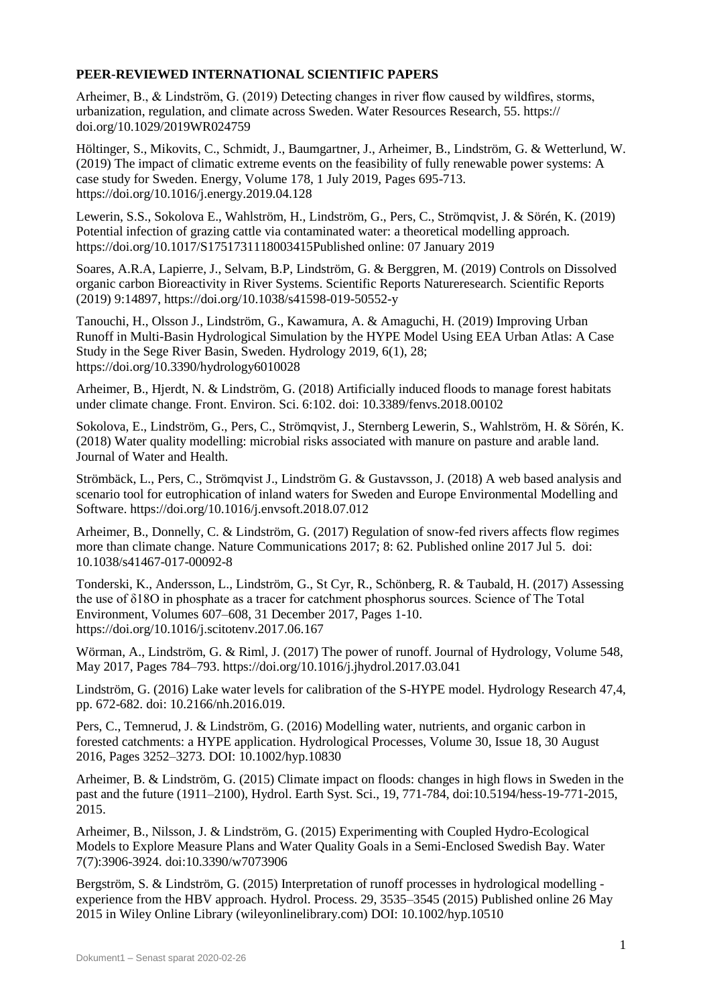## **PEER-REVIEWED INTERNATIONAL SCIENTIFIC PAPERS**

Arheimer, B., & Lindström, G. (2019) Detecting changes in river flow caused by wildfires, storms, urbanization, regulation, and climate across Sweden. Water Resources Research, 55. https:// doi.org/10.1029/2019WR024759

Höltinger, S., Mikovits, C., Schmidt, J., Baumgartner, J., Arheimer, B., Lindström, G. & Wetterlund, W. (2019) The impact of climatic extreme events on the feasibility of fully renewable power systems: A case study for Sweden. Energy, Volume 178, 1 July 2019, Pages 695-713. https://doi.org/10.1016/j.energy.2019.04.128

Lewerin, S.S., Sokolova E., Wahlström, H., Lindström, G., Pers, C., Strömqvist, J. & Sörén, K. (2019) Potential infection of grazing cattle via contaminated water: a theoretical modelling approach. https://doi.org/10.1017/S1751731118003415Published online: 07 January 2019

Soares, A.R.A, Lapierre, J., Selvam, B.P, Lindström, G. & Berggren, M. (2019) Controls on Dissolved organic carbon Bioreactivity in River Systems. Scientific Reports Natureresearch. Scientific Reports (2019) 9:14897, https://doi.org/10.1038/s41598-019-50552-y

Tanouchi, H., Olsson J., Lindström, G., Kawamura, A. & Amaguchi, H. (2019) Improving Urban Runoff in Multi-Basin Hydrological Simulation by the HYPE Model Using EEA Urban Atlas: A Case Study in the Sege River Basin, Sweden. Hydrology 2019, 6(1), 28; https://doi.org/10.3390/hydrology6010028

Arheimer, B., Hjerdt, N. & Lindström, G. (2018) Artificially induced floods to manage forest habitats under climate change. Front. Environ. Sci. 6:102. doi: 10.3389/fenvs.2018.00102

Sokolova, E., Lindström, G., Pers, C., Strömqvist, J., Sternberg Lewerin, S., Wahlström, H. & Sörén, K. (2018) Water quality modelling: microbial risks associated with manure on pasture and arable land. Journal of Water and Health.

Strömbäck, L., Pers, C., Strömqvist J., Lindström G. & Gustavsson, J. (2018) A web based analysis and scenario tool for eutrophication of inland waters for Sweden and Europe Environmental Modelling and Software. https://doi.org/10.1016/j.envsoft.2018.07.012

Arheimer, B., Donnelly, C. & Lindström, G. (2017) Regulation of snow-fed rivers affects flow regimes more than climate change. Nature Communications 2017; 8: 62. Published online 2017 Jul 5. doi: 10.1038/s41467-017-00092-8

Tonderski, K., Andersson, L., Lindström, G., St Cyr, R., Schönberg, R. & Taubald, H. (2017) Assessing the use of δ18O in phosphate as a tracer for catchment phosphorus sources. Science of The Total Environment, Volumes 607–608, 31 December 2017, Pages 1-10. https://doi.org/10.1016/j.scitotenv.2017.06.167

Wörman, A., Lindström, G. & Riml, J. (2017) The power of runoff. Journal of Hydrology, Volume 548, May 2017, Pages 784–793. https://doi.org/10.1016/j.jhydrol.2017.03.041

Lindström, G. (2016) Lake water levels for calibration of the S-HYPE model. Hydrology Research 47,4, pp. 672-682. doi: 10.2166/nh.2016.019.

Pers, C., Temnerud, J. & Lindström, G. (2016) Modelling water, nutrients, and organic carbon in forested catchments: a HYPE application. Hydrological Processes, Volume 30, Issue 18, 30 August 2016, Pages 3252–3273. DOI: 10.1002/hyp.10830

Arheimer, B. & Lindström, G. (2015) Climate impact on floods: changes in high flows in Sweden in the past and the future (1911–2100), Hydrol. Earth Syst. Sci., 19, 771-784, doi:10.5194/hess-19-771-2015, 2015.

Arheimer, B., Nilsson, J. & Lindström, G. (2015) Experimenting with Coupled Hydro-Ecological Models to Explore Measure Plans and Water Quality Goals in a Semi-Enclosed Swedish Bay. Water 7(7):3906-3924. doi:10.3390/w7073906

Bergström, S. & Lindström, G. (2015) Interpretation of runoff processes in hydrological modelling experience from the HBV approach. Hydrol. Process. 29, 3535–3545 (2015) Published online 26 May 2015 in Wiley Online Library (wileyonlinelibrary.com) DOI: 10.1002/hyp.10510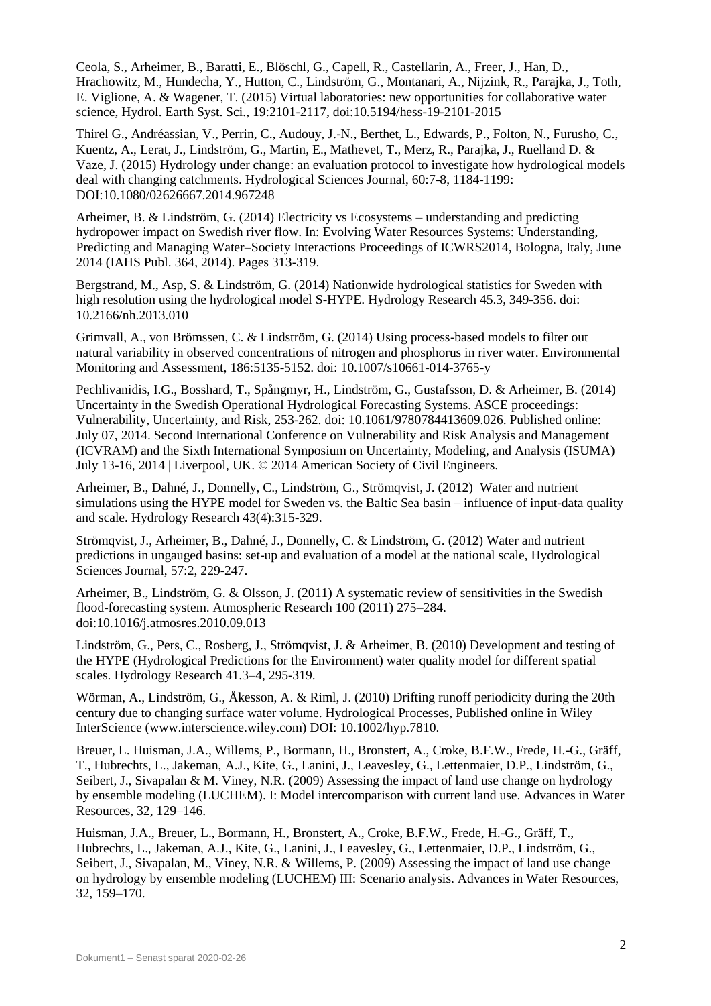Ceola, S., Arheimer, B., Baratti, E., Blöschl, G., Capell, R., Castellarin, A., Freer, J., Han, D., Hrachowitz, M., Hundecha, Y., Hutton, C., Lindström, G., Montanari, A., Nijzink, R., Parajka, J., Toth, E. Viglione, A. & Wagener, T. (2015) Virtual laboratories: new opportunities for collaborative water science, Hydrol. Earth Syst. Sci., 19:2101-2117, doi:10.5194/hess-19-2101-2015

Thirel G., Andréassian, V., Perrin, C., Audouy, J.-N., Berthet, L., Edwards, P., Folton, N., Furusho, C., Kuentz, A., Lerat, J., Lindström, G., Martin, E., Mathevet, T., Merz, R., Parajka, J., Ruelland D. & Vaze, J. (2015) Hydrology under change: an evaluation protocol to investigate how hydrological models deal with changing catchments. Hydrological Sciences Journal, 60:7-8, 1184-1199: DOI:10.1080/02626667.2014.967248

Arheimer, B. & Lindström, G. (2014) Electricity vs Ecosystems – understanding and predicting hydropower impact on Swedish river flow. In: Evolving Water Resources Systems: Understanding, Predicting and Managing Water–Society Interactions Proceedings of ICWRS2014, Bologna, Italy, June 2014 (IAHS Publ. 364, 2014). Pages 313-319.

Bergstrand, M., Asp, S. & Lindström, G. (2014) Nationwide hydrological statistics for Sweden with high resolution using the hydrological model S-HYPE. Hydrology Research 45.3, 349-356. doi: 10.2166/nh.2013.010

Grimvall, A., von Brömssen, C. & Lindström, G. (2014) Using process-based models to filter out natural variability in observed concentrations of nitrogen and phosphorus in river water. Environmental Monitoring and Assessment, 186:5135-5152. doi: 10.1007/s10661-014-3765-y

Pechlivanidis, I.G., Bosshard, T., Spångmyr, H., Lindström, G., Gustafsson, D. & Arheimer, B. (2014) Uncertainty in the Swedish Operational Hydrological Forecasting Systems. ASCE proceedings: Vulnerability, Uncertainty, and Risk, 253-262. doi: 10.1061/9780784413609.026. Published online: July 07, 2014. Second International Conference on Vulnerability and Risk Analysis and Management (ICVRAM) and the Sixth International Symposium on Uncertainty, Modeling, and Analysis (ISUMA) July 13-16, 2014 | Liverpool, UK. © 2014 American Society of Civil Engineers.

Arheimer, B., Dahné, J., Donnelly, C., Lindström, G., Strömqvist, J. (2012) Water and nutrient simulations using the HYPE model for Sweden vs. the Baltic Sea basin – influence of input-data quality and scale. Hydrology Research 43(4):315-329.

Strömqvist, J., Arheimer, B., Dahné, J., Donnelly, C. & Lindström, G. (2012) Water and nutrient predictions in ungauged basins: set-up and evaluation of a model at the national scale, Hydrological Sciences Journal, 57:2, 229-247.

Arheimer, B., Lindström, G. & Olsson, J. (2011) A systematic review of sensitivities in the Swedish flood-forecasting system. Atmospheric Research 100 (2011) 275–284. doi:10.1016/j.atmosres.2010.09.013

Lindström, G., Pers, C., Rosberg, J., Strömqvist, J. & Arheimer, B. (2010) Development and testing of the HYPE (Hydrological Predictions for the Environment) water quality model for different spatial scales. Hydrology Research 41.3–4, 295-319.

Wörman, A., Lindström, G., Åkesson, A. & Riml, J. (2010) Drifting runoff periodicity during the 20th century due to changing surface water volume. Hydrological Processes, Published online in Wiley InterScience (www.interscience.wiley.com) DOI: 10.1002/hyp.7810.

Breuer, L. Huisman, J.A., Willems, P., Bormann, H., Bronstert, A., Croke, B.F.W., Frede, H.-G., Gräff, T., Hubrechts, L., Jakeman, A.J., Kite, G., Lanini, J., Leavesley, G., Lettenmaier, D.P., Lindström, G., Seibert, J., Sivapalan & M. Viney, N.R. (2009) Assessing the impact of land use change on hydrology by ensemble modeling (LUCHEM). I: Model intercomparison with current land use. Advances in Water Resources, 32, 129–146.

Huisman, J.A., Breuer, L., Bormann, H., Bronstert, A., Croke, B.F.W., Frede, H.-G., Gräff, T., Hubrechts, L., Jakeman, A.J., Kite, G., Lanini, J., Leavesley, G., Lettenmaier, D.P., Lindström, G., Seibert, J., Sivapalan, M., Viney, N.R. & Willems, P. (2009) Assessing the impact of land use change on hydrology by ensemble modeling (LUCHEM) III: Scenario analysis. Advances in Water Resources, 32, 159–170.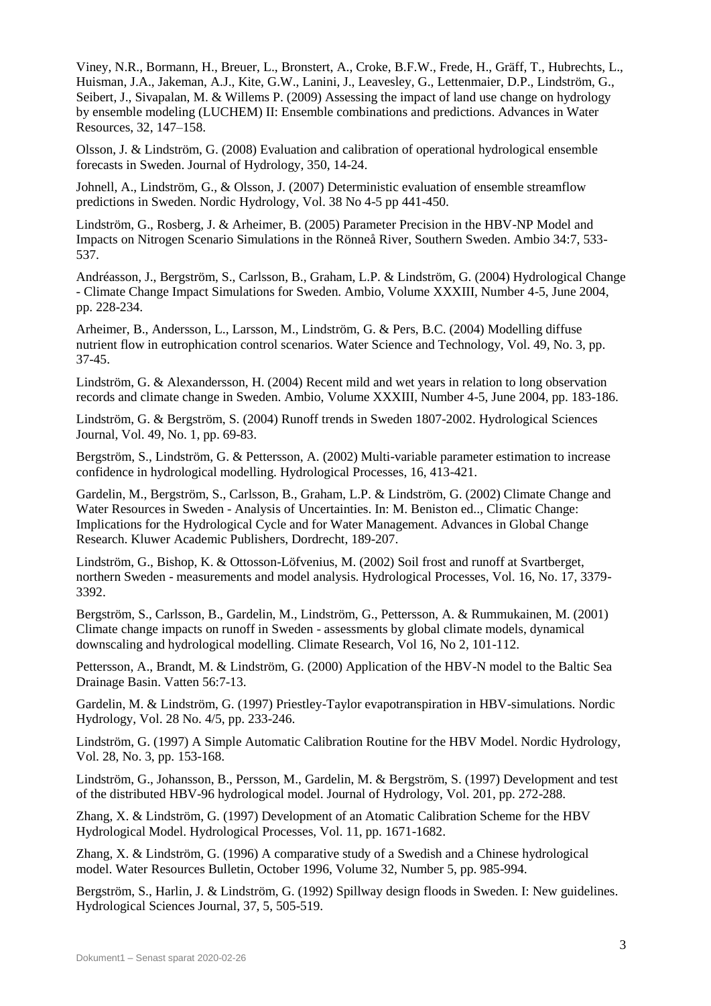Viney, N.R., Bormann, H., Breuer, L., Bronstert, A., Croke, B.F.W., Frede, H., Gräff, T., Hubrechts, L., Huisman, J.A., Jakeman, A.J., Kite, G.W., Lanini, J., Leavesley, G., Lettenmaier, D.P., Lindström, G., Seibert, J., Sivapalan, M. & Willems P. (2009) Assessing the impact of land use change on hydrology by ensemble modeling (LUCHEM) II: Ensemble combinations and predictions. Advances in Water Resources, 32, 147–158.

Olsson, J. & Lindström, G. (2008) Evaluation and calibration of operational hydrological ensemble forecasts in Sweden. Journal of Hydrology, 350, 14-24.

Johnell, A., Lindström, G., & Olsson, J. (2007) Deterministic evaluation of ensemble streamflow predictions in Sweden. Nordic Hydrology, Vol. 38 No 4-5 pp 441-450.

Lindström, G., Rosberg, J. & Arheimer, B. (2005) Parameter Precision in the HBV-NP Model and Impacts on Nitrogen Scenario Simulations in the Rönneå River, Southern Sweden. Ambio 34:7, 533- 537.

Andréasson, J., Bergström, S., Carlsson, B., Graham, L.P. & Lindström, G. (2004) Hydrological Change - Climate Change Impact Simulations for Sweden. Ambio, Volume XXXIII, Number 4-5, June 2004, pp. 228-234.

Arheimer, B., Andersson, L., Larsson, M., Lindström, G. & Pers, B.C. (2004) Modelling diffuse nutrient flow in eutrophication control scenarios. Water Science and Technology, Vol. 49, No. 3, pp. 37-45.

Lindström, G. & Alexandersson, H. (2004) Recent mild and wet years in relation to long observation records and climate change in Sweden. Ambio, Volume XXXIII, Number 4-5, June 2004, pp. 183-186.

Lindström, G. & Bergström, S. (2004) Runoff trends in Sweden 1807-2002. Hydrological Sciences Journal, Vol. 49, No. 1, pp. 69-83.

Bergström, S., Lindström, G. & Pettersson, A. (2002) Multi-variable parameter estimation to increase confidence in hydrological modelling. Hydrological Processes, 16, 413-421.

Gardelin, M., Bergström, S., Carlsson, B., Graham, L.P. & Lindström, G. (2002) Climate Change and Water Resources in Sweden - Analysis of Uncertainties. In: M. Beniston ed.., Climatic Change: Implications for the Hydrological Cycle and for Water Management. Advances in Global Change Research. Kluwer Academic Publishers, Dordrecht, 189-207.

Lindström, G., Bishop, K. & Ottosson-Löfvenius, M. (2002) Soil frost and runoff at Svartberget, northern Sweden - measurements and model analysis. Hydrological Processes, Vol. 16, No. 17, 3379- 3392.

Bergström, S., Carlsson, B., Gardelin, M., Lindström, G., Pettersson, A. & Rummukainen, M. (2001) Climate change impacts on runoff in Sweden - assessments by global climate models, dynamical downscaling and hydrological modelling. Climate Research, Vol 16, No 2, 101-112.

Pettersson, A., Brandt, M. & Lindström, G. (2000) Application of the HBV-N model to the Baltic Sea Drainage Basin. Vatten 56:7-13.

Gardelin, M. & Lindström, G. (1997) Priestley-Taylor evapotranspiration in HBV-simulations. Nordic Hydrology, Vol. 28 No. 4/5, pp. 233-246.

Lindström, G. (1997) A Simple Automatic Calibration Routine for the HBV Model. Nordic Hydrology, Vol. 28, No. 3, pp. 153-168.

Lindström, G., Johansson, B., Persson, M., Gardelin, M. & Bergström, S. (1997) Development and test of the distributed HBV-96 hydrological model. Journal of Hydrology, Vol. 201, pp. 272-288.

Zhang, X. & Lindström, G. (1997) Development of an Atomatic Calibration Scheme for the HBV Hydrological Model. Hydrological Processes, Vol. 11, pp. 1671-1682.

Zhang, X. & Lindström, G. (1996) A comparative study of a Swedish and a Chinese hydrological model. Water Resources Bulletin, October 1996, Volume 32, Number 5, pp. 985-994.

Bergström, S., Harlin, J. & Lindström, G. (1992) Spillway design floods in Sweden. I: New guidelines. Hydrological Sciences Journal, 37, 5, 505-519.